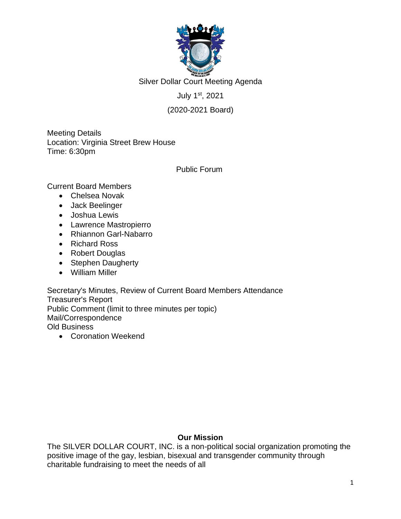

Silver Dollar Court Meeting Agenda

July 1st , 2021

## (2020-2021 Board)

Meeting Details Location: Virginia Street Brew House Time: 6:30pm

### Public Forum

Current Board Members

- Chelsea Novak
- Jack Beelinger
- Joshua Lewis
- Lawrence Mastropierro
- Rhiannon Garl-Nabarro
- Richard Ross
- Robert Douglas
- Stephen Daugherty
- William Miller

Secretary's Minutes, Review of Current Board Members Attendance Treasurer's Report Public Comment (limit to three minutes per topic) Mail/Correspondence Old Business

• Coronation Weekend

### **Our Mission**

The SILVER DOLLAR COURT, INC. is a non-political social organization promoting the positive image of the gay, lesbian, bisexual and transgender community through charitable fundraising to meet the needs of all